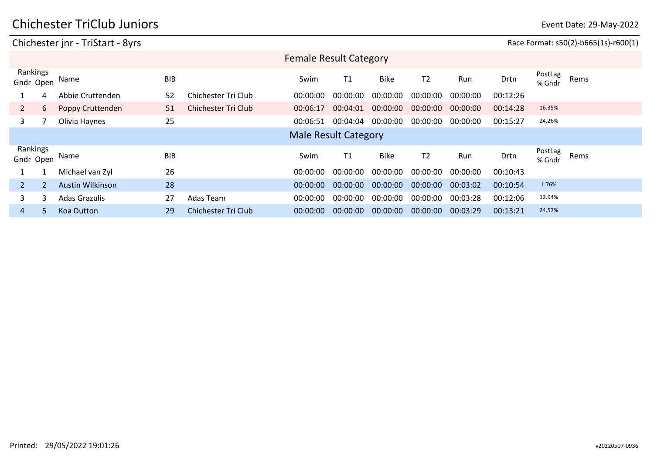#### Chichester jnr - TriStart - 8yrs **Race Format: s50(2)-b665(1s)-r600(1**) Gndr Open Name BIB Drtn PostLag PostLag<br>% Gndr Rems Rankings Female Result Category Swim T1 Bike T2 Run 1 4 Abbie Cruttenden 52 Chichester Tri Club 00:00:00 00:00:00 00:00:00 00:00:00 00:00:00 00:12:26 2 6 Poppy Cruttenden 51 Chichester Tri Club 00:06:17 00:04:01 00:00:00 00:00:00 00:00:00 00:14:28 16.35% 3 7 Olivia Haynes 25 00:06:51 00:04:04 00:00:00 00:00:00 00:00:00 00:15:27 24.26% Gndr Open Name BIB Drtn PostLag PostLag<br>% Gndr Rems Rankings<br>Gndr Open Male Result Category Swim T1 Bike T2 Run 1 1 Michael van Zyl 26 00:00:00 00:00:00 00:00:00 00:00:00 00:00:00 00:10:43 2 2 Austin Wilkinson 28 00:00:00 00:00:00 00:00:00 00:00:00 00:03:02 00:10:54 1.76% 3 3 Adas Grazulis 27 Adas Team 00:00:00 00:00:00 00:00:00 00:00:00 00:03:28 00:12:06 12.94% 4 5 Koa Dutton 29 Chichester Tri Club 00:00:00 00:00:00 00:00:00 00:00:00 00:03:29 00:13:21 24.57%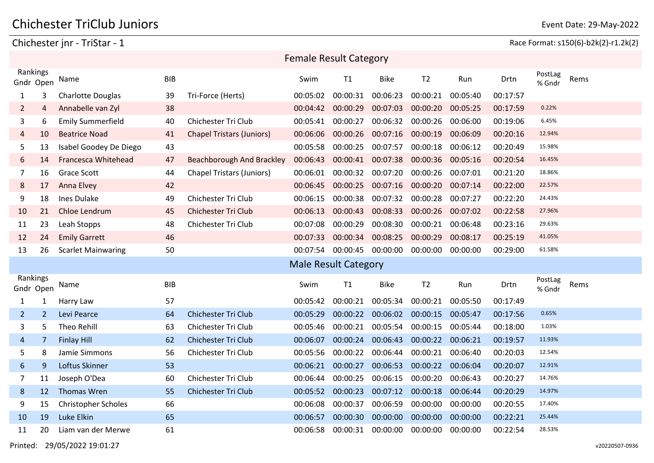Chichester jnr - TriStar - 1 Race Format: s150(6)-b2k(2)-r1.2k(2)

|                       | <b>Female Result Category</b>                                                                             |                            |            |                                  |                             |          |             |                |          |          |                   |      |
|-----------------------|-----------------------------------------------------------------------------------------------------------|----------------------------|------------|----------------------------------|-----------------------------|----------|-------------|----------------|----------|----------|-------------------|------|
|                       | Rankings<br><b>BIB</b><br>T <sub>2</sub><br><b>Bike</b><br>Run<br>Swim<br>T1<br>Drtn<br>Name<br>Gndr Open |                            |            |                                  |                             |          |             |                |          |          | PostLag<br>% Gndr | Rems |
| 1                     | 3                                                                                                         | <b>Charlotte Douglas</b>   | 39         | Tri-Force (Herts)                | 00:05:02                    | 00:00:31 | 00:06:23    | 00:00:21       | 00:05:40 | 00:17:57 |                   |      |
| $\overline{2}$        | 4                                                                                                         | Annabelle van Zyl          | 38         |                                  | 00:04:42                    | 00:00:29 | 00:07:03    | 00:00:20       | 00:05:25 | 00:17:59 | 0.22%             |      |
| 3                     | 6                                                                                                         | <b>Emily Summerfield</b>   | 40         | Chichester Tri Club              | 00:05:41                    | 00:00:27 | 00:06:32    | 00:00:26       | 00:06:00 | 00:19:06 | 6.45%             |      |
| 4                     | 10                                                                                                        | <b>Beatrice Noad</b>       | 41         | <b>Chapel Tristars (Juniors)</b> | 00:06:06                    | 00:00:26 | 00:07:16    | 00:00:19       | 00:06:09 | 00:20:16 | 12.94%            |      |
| 5                     | 13                                                                                                        | Isabel Goodey De Diego     | 43         |                                  | 00:05:58                    | 00:00:25 | 00:07:57    | 00:00:18       | 00:06:12 | 00:20:49 | 15.98%            |      |
| 6                     | 14                                                                                                        | Francesca Whitehead        | 47         | Beachborough And Brackley        | 00:06:43                    | 00:00:41 | 00:07:38    | 00:00:36       | 00:05:16 | 00:20:54 | 16.45%            |      |
| 7                     | 16                                                                                                        | <b>Grace Scott</b>         | 44         | <b>Chapel Tristars (Juniors)</b> | 00:06:01                    | 00:00:32 | 00:07:20    | 00:00:26       | 00:07:01 | 00:21:20 | 18.86%            |      |
| 8                     | 17                                                                                                        | Anna Elvey                 | 42         |                                  | 00:06:45                    | 00:00:25 | 00:07:16    | 00:00:20       | 00:07:14 | 00:22:00 | 22.57%            |      |
| 9                     | 18                                                                                                        | Ines Dulake                | 49         | Chichester Tri Club              | 00:06:15                    | 00:00:38 | 00:07:32    | 00:00:28       | 00:07:27 | 00:22:20 | 24.43%            |      |
| 10                    | 21                                                                                                        | Chloe Lendrum              | 45         | Chichester Tri Club              | 00:06:13                    | 00:00:43 | 00:08:33    | 00:00:26       | 00:07:02 | 00:22:58 | 27.96%            |      |
| 11                    | 23                                                                                                        | Leah Stopps                | 48         | Chichester Tri Club              | 00:07:08                    | 00:00:29 | 00:08:30    | 00:00:21       | 00:06:48 | 00:23:16 | 29.63%            |      |
| 12                    | 24                                                                                                        | <b>Emily Garrett</b>       | 46         |                                  | 00:07:33                    | 00:00:34 | 00:08:25    | 00:00:29       | 00:08:17 | 00:25:19 | 41.05%            |      |
| 13                    | 26                                                                                                        | <b>Scarlet Mainwaring</b>  | 50         |                                  | 00:07:54                    | 00:00:45 | 00:00:00    | 00:00:00       | 00:00:00 | 00:29:00 | 61.58%            |      |
|                       |                                                                                                           |                            |            |                                  | <b>Male Result Category</b> |          |             |                |          |          |                   |      |
| Rankings<br>Gndr Open |                                                                                                           | Name                       | <b>BIB</b> |                                  | Swim                        | T1       | <b>Bike</b> | T <sub>2</sub> | Run      | Drtn     | PostLag<br>% Gndr | Rems |
| $\mathbf{1}$          | 1                                                                                                         | Harry Law                  | 57         |                                  | 00:05:42                    | 00:00:21 | 00:05:34    | 00:00:21       | 00:05:50 | 00:17:49 |                   |      |
| $\overline{2}$        | $\overline{2}$                                                                                            | Levi Pearce                | 64         | <b>Chichester Tri Club</b>       | 00:05:29                    | 00:00:22 | 00:06:02    | 00:00:15       | 00:05:47 | 00:17:56 | 0.65%             |      |
| 3                     | 5                                                                                                         | <b>Theo Rehill</b>         | 63         | Chichester Tri Club              | 00:05:46                    | 00:00:21 | 00:05:54    | 00:00:15       | 00:05:44 | 00:18:00 | 1.03%             |      |
| 4                     | $\overline{7}$                                                                                            | <b>Finlay Hill</b>         | 62         | <b>Chichester Tri Club</b>       | 00:06:07                    | 00:00:24 | 00:06:43    | 00:00:22       | 00:06:21 | 00:19:57 | 11.93%            |      |
| 5                     | 8                                                                                                         | Jamie Simmons              | 56         | Chichester Tri Club              | 00:05:56                    | 00:00:22 | 00:06:44    | 00:00:21       | 00:06:40 | 00:20:03 | 12.54%            |      |
| 6                     | 9                                                                                                         | Loftus Skinner             | 53         |                                  | 00:06:21                    | 00:00:27 | 00:06:53    | 00:00:22       | 00:06:04 | 00:20:07 | 12.91%            |      |
| 7                     | 11                                                                                                        | Joseph O'Dea               | 60         | Chichester Tri Club              | 00:06:44                    | 00:00:25 | 00:06:15    | 00:00:20       | 00:06:43 | 00:20:27 | 14.76%            |      |
| 8                     | 12                                                                                                        | <b>Thomas Wren</b>         | 55         | <b>Chichester Tri Club</b>       | 00:05:52                    | 00:00:23 | 00:07:12    | 00:00:18       | 00:06:44 | 00:20:29 | 14.97%            |      |
| 9                     | 15                                                                                                        | <b>Christopher Scholes</b> | 66         |                                  | 00:06:08                    | 00:00:37 | 00:06:59    | 00:00:00       | 00:00:00 | 00:20:55 | 17.40%            |      |
| 10                    | 19                                                                                                        | Luke Elkin                 | 65         |                                  | 00:06:57                    | 00:00:30 | 00:00:00    | 00:00:00       | 00:00:00 | 00:22:21 | 25.44%            |      |
| 11                    | 20                                                                                                        | Liam van der Merwe         | 61         |                                  | 00:06:58                    | 00:00:31 | 00:00:00    | 00:00:00       | 00:00:00 | 00:22:54 | 28.53%            |      |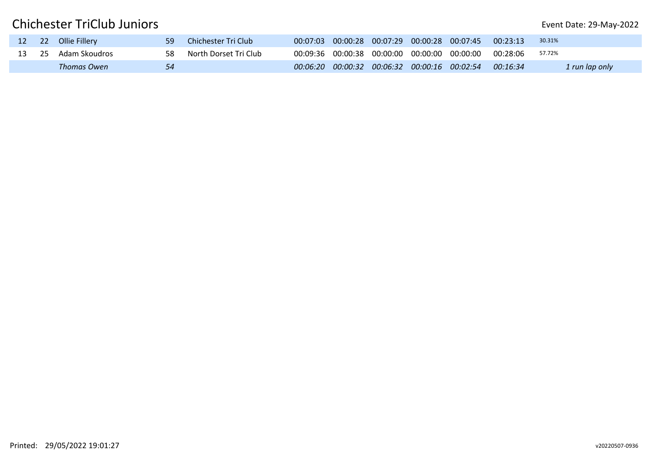|  | 12 22 Ollie Fillery | 59  | Chichester Tri Club   |          |  | $00:07:03$ 00:00:28 00:07:29 00:00:28 00:07:45 | 00:23:13 | 30.31%         |
|--|---------------------|-----|-----------------------|----------|--|------------------------------------------------|----------|----------------|
|  | 13 25 Adam Skoudros | 58. | North Dorset Tri Club |          |  | 00:09:36 00:00:38 00:00:00 00:00:00 00:00:00   | 00:28:06 | 57.72%         |
|  | Thomas Owen         |     |                       | 00:06:20 |  | $00:00:32$ 00:06:32 00:00:16 00:02:54 00:16:34 |          | 1 run lap only |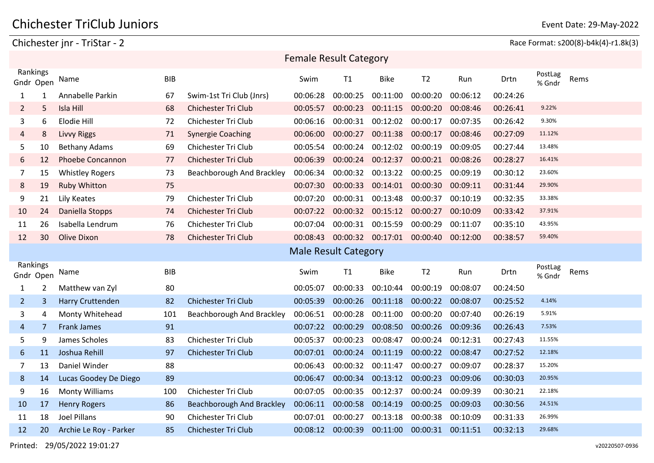Chichester jnr - TriStar - 2 Race Format: s200(8)-b4k(4)-r1.8k(3)

| <b>Female Result Category</b> |                |                         |            |                            |                             |          |             |                |          |          |                   |      |
|-------------------------------|----------------|-------------------------|------------|----------------------------|-----------------------------|----------|-------------|----------------|----------|----------|-------------------|------|
| Rankings<br>Gndr Open         |                | Name                    | <b>BIB</b> |                            | Swim                        | T1       | <b>Bike</b> | T <sub>2</sub> | Run      | Drtn     | PostLag<br>% Gndr | Rems |
| $\mathbf{1}$                  | 1              | Annabelle Parkin        | 67         | Swim-1st Tri Club (Jnrs)   | 00:06:28                    | 00:00:25 | 00:11:00    | 00:00:20       | 00:06:12 | 00:24:26 |                   |      |
| $\overline{2}$                | 5              | Isla Hill               | 68         | <b>Chichester Tri Club</b> | 00:05:57                    | 00:00:23 | 00:11:15    | 00:00:20       | 00:08:46 | 00:26:41 | 9.22%             |      |
| 3                             | 6              | Elodie Hill             | 72         | Chichester Tri Club        | 00:06:16                    | 00:00:31 | 00:12:02    | 00:00:17       | 00:07:35 | 00:26:42 | 9.30%             |      |
| 4                             | 8              | <b>Livvy Riggs</b>      | 71         | <b>Synergie Coaching</b>   | 00:06:00                    | 00:00:27 | 00:11:38    | 00:00:17       | 00:08:46 | 00:27:09 | 11.12%            |      |
| 5                             | 10             | <b>Bethany Adams</b>    | 69         | Chichester Tri Club        | 00:05:54                    | 00:00:24 | 00:12:02    | 00:00:19       | 00:09:05 | 00:27:44 | 13.48%            |      |
| 6                             | 12             | <b>Phoebe Concannon</b> | 77         | <b>Chichester Tri Club</b> | 00:06:39                    | 00:00:24 | 00:12:37    | 00:00:21       | 00:08:26 | 00:28:27 | 16.41%            |      |
| 7                             | 15             | <b>Whistley Rogers</b>  | 73         | Beachborough And Brackley  | 00:06:34                    | 00:00:32 | 00:13:22    | 00:00:25       | 00:09:19 | 00:30:12 | 23.60%            |      |
| 8                             | 19             | <b>Ruby Whitton</b>     | 75         |                            | 00:07:30                    | 00:00:33 | 00:14:01    | 00:00:30       | 00:09:11 | 00:31:44 | 29.90%            |      |
| 9                             | 21             | Lily Keates             | 79         | Chichester Tri Club        | 00:07:20                    | 00:00:31 | 00:13:48    | 00:00:37       | 00:10:19 | 00:32:35 | 33.38%            |      |
| 10                            | 24             | Daniella Stopps         | 74         | <b>Chichester Tri Club</b> | 00:07:22                    | 00:00:32 | 00:15:12    | 00:00:27       | 00:10:09 | 00:33:42 | 37.91%            |      |
| 11                            | 26             | Isabella Lendrum        | 76         | Chichester Tri Club        | 00:07:04                    | 00:00:31 | 00:15:59    | 00:00:29       | 00:11:07 | 00:35:10 | 43.95%            |      |
| 12                            | 30             | Olive Dixon             | 78         | Chichester Tri Club        | 00:08:43                    | 00:00:32 | 00:17:01    | 00:00:40       | 00:12:00 | 00:38:57 | 59.40%            |      |
|                               |                |                         |            |                            |                             |          |             |                |          |          |                   |      |
|                               |                |                         |            |                            | <b>Male Result Category</b> |          |             |                |          |          |                   |      |
| Rankings<br>Gndr Open         |                | Name                    | <b>BIB</b> |                            | Swim                        | T1       | <b>Bike</b> | T <sub>2</sub> | Run      | Drtn     | PostLag<br>% Gndr | Rems |
| 1                             | 2              | Matthew van Zyl         | 80         |                            | 00:05:07                    | 00:00:33 | 00:10:44    | 00:00:19       | 00:08:07 | 00:24:50 |                   |      |
| 2 <sup>1</sup>                | 3              | Harry Cruttenden        | 82         | Chichester Tri Club        | 00:05:39                    | 00:00:26 | 00:11:18    | 00:00:22       | 00:08:07 | 00:25:52 | 4.14%             |      |
| 3                             | 4              | Monty Whitehead         | 101        | Beachborough And Brackley  | 00:06:51                    | 00:00:28 | 00:11:00    | 00:00:20       | 00:07:40 | 00:26:19 | 5.91%             |      |
| 4                             | $\overline{7}$ | <b>Frank James</b>      | 91         |                            | 00:07:22                    | 00:00:29 | 00:08:50    | 00:00:26       | 00:09:36 | 00:26:43 | 7.53%             |      |
| 5                             | 9              | James Scholes           | 83         | Chichester Tri Club        | 00:05:37                    | 00:00:23 | 00:08:47    | 00:00:24       | 00:12:31 | 00:27:43 | 11.55%            |      |
| 6                             | 11             | Joshua Rehill           | 97         | <b>Chichester Tri Club</b> | 00:07:01                    | 00:00:24 | 00:11:19    | 00:00:22       | 00:08:47 | 00:27:52 | 12.18%            |      |
| 7                             | 13             | Daniel Winder           | 88         |                            | 00:06:43                    | 00:00:32 | 00:11:47    | 00:00:27       | 00:09:07 | 00:28:37 | 15.20%            |      |
| 8                             | 14             | Lucas Goodey De Diego   | 89         |                            | 00:06:47                    | 00:00:34 | 00:13:12    | 00:00:23       | 00:09:06 | 00:30:03 | 20.95%            |      |
| 9                             | 16             | <b>Monty Williams</b>   | 100        | Chichester Tri Club        | 00:07:05                    | 00:00:35 | 00:12:37    | 00:00:24       | 00:09:39 | 00:30:21 | 22.18%            |      |
| 10                            | 17             | <b>Henry Rogers</b>     | 86         | Beachborough And Brackley  | 00:06:11                    | 00:00:58 | 00:14:19    | 00:00:25       | 00:09:03 | 00:30:56 | 24.51%            |      |
| 11                            | 18             | <b>Joel Pillans</b>     | 90         | Chichester Tri Club        | 00:07:01                    | 00:00:27 | 00:13:18    | 00:00:38       | 00:10:09 | 00:31:33 | 26.99%            |      |

Printed: 29/05/2022 19:01:27 v20220507-0936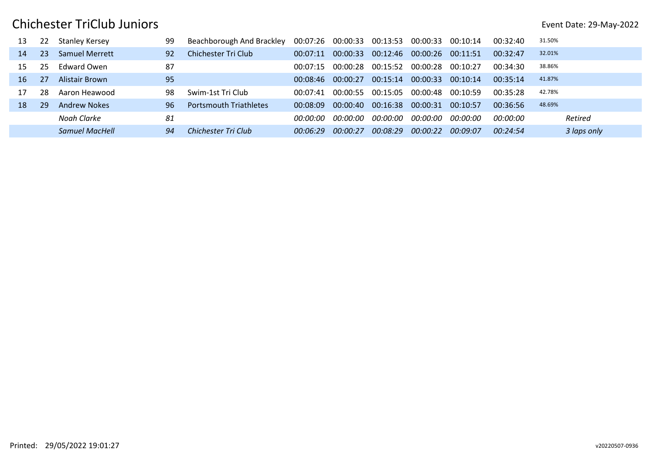| 13 | 22  | Stanley Kersey        | 99 | Beachborough And Brackley     | 00:07:26 | 00:00:33 | 00:13:53 | 00:00:33 | 00:10:14 | 00:32:40 | 31.50%      |
|----|-----|-----------------------|----|-------------------------------|----------|----------|----------|----------|----------|----------|-------------|
| 14 | 23  | <b>Samuel Merrett</b> | 92 | Chichester Tri Club           | 00:07:11 | 00:00:33 | 00:12:46 | 00:00:26 | 00:11:51 | 00:32:47 | 32.01%      |
| 15 | 25  | Fdward Owen           | 87 |                               | 00:07:15 | 00:00:28 | 00:15:52 | 00:00:28 | 00:10:27 | 00:34:30 | 38.86%      |
| 16 | -27 | Alistair Brown        | 95 |                               | 00:08:46 | ∩∩∙∩∩∙27 | 00:15:14 | 00:00:33 | 00:10:14 | 00:35:14 | 41.87%      |
|    | 28  | Aaron Heawood         | 98 | Swim-1st Tri Club             | 00:07:41 | 00:00:55 | 00:15:05 | 00:00:48 | 00:10:59 | 00:35:28 | 42.78%      |
| 18 | 29  | Andrew Nokes          | 96 | <b>Portsmouth Triathletes</b> | 00:08:09 | 00:00:40 | 00:16:38 | 00:00:31 | 00:10:57 | 00:36:56 | 48.69%      |
|    |     | Noah Clarke           | 81 |                               | nn:nn:nn | חח:חח:חח | 00:00:00 | חח:חח:חח | חח:חח:חח | 00:00:00 | Retired     |
|    |     | Samuel MacHell        | 94 | Chichester Tri Club           | 00:06:29 | 00:00:27 | 00:08:29 | 00:00:22 | 00:09:07 | 00:24:54 | 3 laps only |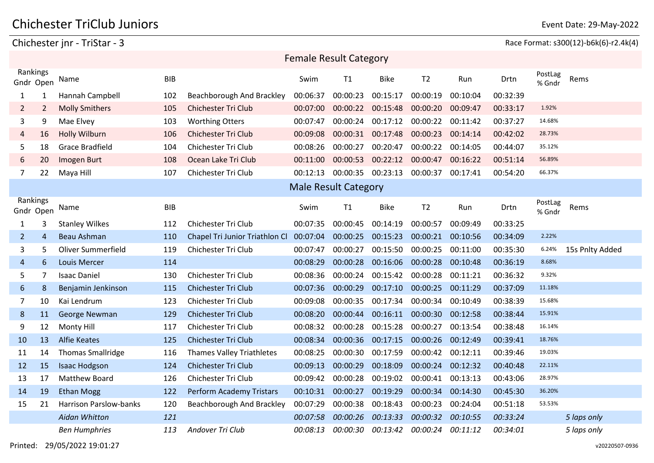#### Chichester jnr - TriStar - 3 Race Format: s300(12)-b6k(6)-r2.4k(4)

|                       |                |                               |            |                                  |          | <b>Female Result Category</b> |             |                |          |          |                   |                 |
|-----------------------|----------------|-------------------------------|------------|----------------------------------|----------|-------------------------------|-------------|----------------|----------|----------|-------------------|-----------------|
| Rankings<br>Gndr Open |                | Name                          | <b>BIB</b> |                                  | Swim     | T1                            | <b>Bike</b> | T <sub>2</sub> | Run      | Drtn     | PostLag<br>% Gndr | Rems            |
| $\mathbf{1}$          | 1              | Hannah Campbell               | 102        | Beachborough And Brackley        | 00:06:37 | 00:00:23                      | 00:15:17    | 00:00:19       | 00:10:04 | 00:32:39 |                   |                 |
| $\overline{2}$        | $\overline{2}$ | <b>Molly Smithers</b>         | 105        | <b>Chichester Tri Club</b>       | 00:07:00 | 00:00:22                      | 00:15:48    | 00:00:20       | 00:09:47 | 00:33:17 | 1.92%             |                 |
| 3                     | 9              | Mae Elvey                     | 103        | <b>Worthing Otters</b>           | 00:07:47 | 00:00:24                      | 00:17:12    | 00:00:22       | 00:11:42 | 00:37:27 | 14.68%            |                 |
| $\overline{4}$        | 16             | <b>Holly Wilburn</b>          | 106        | <b>Chichester Tri Club</b>       | 00:09:08 | 00:00:31                      | 00:17:48    | 00:00:23       | 00:14:14 | 00:42:02 | 28.73%            |                 |
| 5                     | 18             | <b>Grace Bradfield</b>        | 104        | Chichester Tri Club              | 00:08:26 | 00:00:27                      | 00:20:47    | 00:00:22       | 00:14:05 | 00:44:07 | 35.12%            |                 |
| 6                     | 20             | Imogen Burt                   | 108        | Ocean Lake Tri Club              | 00:11:00 | 00:00:53                      | 00:22:12    | 00:00:47       | 00:16:22 | 00:51:14 | 56.89%            |                 |
| $\overline{7}$        | 22             | Maya Hill                     | 107        | Chichester Tri Club              | 00:12:13 | 00:00:35                      | 00:23:13    | 00:00:37       | 00:17:41 | 00:54:20 | 66.37%            |                 |
|                       |                |                               |            |                                  |          | <b>Male Result Category</b>   |             |                |          |          |                   |                 |
| Rankings<br>Gndr Open |                | Name                          | <b>BIB</b> |                                  | Swim     | T1                            | <b>Bike</b> | T <sub>2</sub> | Run      | Drtn     | PostLag<br>% Gndr | Rems            |
| $\mathbf{1}$          | 3              | <b>Stanley Wilkes</b>         | 112        | <b>Chichester Tri Club</b>       | 00:07:35 | 00:00:45                      | 00:14:19    | 00:00:57       | 00:09:49 | 00:33:25 |                   |                 |
| $\overline{2}$        | 4              | <b>Beau Ashman</b>            | 110        | Chapel Tri Junior Triathlon Cl   | 00:07:04 | 00:00:25                      | 00:15:23    | 00:00:21       | 00:10:56 | 00:34:09 | 2.22%             |                 |
| 3                     | 5.             | Oliver Summerfield            | 119        | Chichester Tri Club              | 00:07:47 | 00:00:27                      | 00:15:50    | 00:00:25       | 00:11:00 | 00:35:30 | 6.24%             | 15s Pnlty Added |
| 4                     | 6              | <b>Louis Mercer</b>           | 114        |                                  | 00:08:29 | 00:00:28                      | 00:16:06    | 00:00:28       | 00:10:48 | 00:36:19 | 8.68%             |                 |
| 5                     | 7              | <b>Isaac Daniel</b>           | 130        | Chichester Tri Club              | 00:08:36 | 00:00:24                      | 00:15:42    | 00:00:28       | 00:11:21 | 00:36:32 | 9.32%             |                 |
| 6                     | 8              | Benjamin Jenkinson            | 115        | <b>Chichester Tri Club</b>       | 00:07:36 | 00:00:29                      | 00:17:10    | 00:00:25       | 00:11:29 | 00:37:09 | 11.18%            |                 |
| 7                     | 10             | Kai Lendrum                   | 123        | Chichester Tri Club              | 00:09:08 | 00:00:35                      | 00:17:34    | 00:00:34       | 00:10:49 | 00:38:39 | 15.68%            |                 |
| 8                     | 11             | George Newman                 | 129        | <b>Chichester Tri Club</b>       | 00:08:20 | 00:00:44                      | 00:16:11    | 00:00:30       | 00:12:58 | 00:38:44 | 15.91%            |                 |
| 9                     | 12             | Monty Hill                    | 117        | Chichester Tri Club              | 00:08:32 | 00:00:28                      | 00:15:28    | 00:00:27       | 00:13:54 | 00:38:48 | 16.14%            |                 |
| 10                    | 13             | <b>Alfie Keates</b>           | 125        | <b>Chichester Tri Club</b>       | 00:08:34 | 00:00:36                      | 00:17:15    | 00:00:26       | 00:12:49 | 00:39:41 | 18.76%            |                 |
| 11                    | 14             | <b>Thomas Smallridge</b>      | 116        | <b>Thames Valley Triathletes</b> | 00:08:25 | 00:00:30                      | 00:17:59    | 00:00:42       | 00:12:11 | 00:39:46 | 19.03%            |                 |
| 12                    | 15             | <b>Isaac Hodgson</b>          | 124        | Chichester Tri Club              | 00:09:13 | 00:00:29                      | 00:18:09    | 00:00:24       | 00:12:32 | 00:40:48 | 22.11%            |                 |
| 13                    | 17             | <b>Matthew Board</b>          | 126        | Chichester Tri Club              | 00:09:42 | 00:00:28                      | 00:19:02    | 00:00:41       | 00:13:13 | 00:43:06 | 28.97%            |                 |
| 14                    | 19             | <b>Ethan Mogg</b>             | 122        | Perform Academy Tristars         | 00:10:31 | 00:00:27                      | 00:19:29    | 00:00:34       | 00:14:30 | 00:45:30 | 36.20%            |                 |
| 15                    | 21             | <b>Harrison Parslow-banks</b> | 120        | Beachborough And Brackley        | 00:07:29 | 00:00:38                      | 00:18:43    | 00:00:23       | 00:24:04 | 00:51:18 | 53.53%            |                 |
|                       |                | Aidan Whitton                 | 121        |                                  | 00:07:58 | 00:00:26                      | 00:13:33    | 00:00:32       | 00:10:55 | 00:33:24 |                   | 5 laps only     |
|                       |                | <b>Ben Humphries</b>          | 113        | Andover Tri Club                 | 00:08:13 | 00:00:30                      | 00:13:42    | 00:00:24       | 00:11:12 | 00:34:01 |                   | 5 laps only     |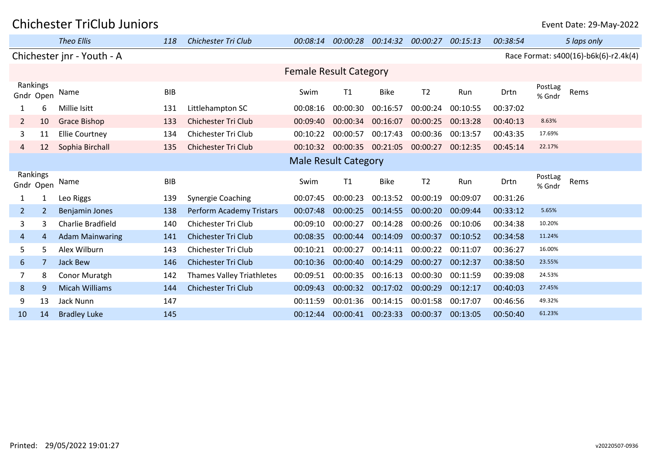|                       |                | <b>Theo Ellis</b>          | 118        | Chichester Tri Club              | 00:08:14                      | 00:00:28 | 00:14:32    | 00:00:27       | 00:15:13 | 00:38:54 |                   | 5 laps only                           |
|-----------------------|----------------|----------------------------|------------|----------------------------------|-------------------------------|----------|-------------|----------------|----------|----------|-------------------|---------------------------------------|
|                       |                | Chichester jnr - Youth - A |            |                                  |                               |          |             |                |          |          |                   | Race Format: s400(16)-b6k(6)-r2.4k(4) |
|                       |                |                            |            |                                  | <b>Female Result Category</b> |          |             |                |          |          |                   |                                       |
| Rankings<br>Gndr Open |                | Name                       | <b>BIB</b> |                                  | Swim                          | T1       | <b>Bike</b> | T <sub>2</sub> | Run      | Drtn     | PostLag<br>% Gndr | Rems                                  |
|                       | 6              | Millie Isitt               | 131        | Littlehampton SC                 | 00:08:16                      | 00:00:30 | 00:16:57    | 00:00:24       | 00:10:55 | 00:37:02 |                   |                                       |
| $\mathbf{2}$          | 10             | <b>Grace Bishop</b>        | 133        | <b>Chichester Tri Club</b>       | 00:09:40                      | 00:00:34 | 00:16:07    | 00:00:25       | 00:13:28 | 00:40:13 | 8.63%             |                                       |
| 3                     | 11             | <b>Ellie Courtney</b>      | 134        | Chichester Tri Club              | 00:10:22                      | 00:00:57 | 00:17:43    | 00:00:36       | 00:13:57 | 00:43:35 | 17.69%            |                                       |
| 4                     | 12             | Sophia Birchall            | 135        | <b>Chichester Tri Club</b>       | 00:10:32                      | 00:00:35 | 00:21:05    | 00:00:27       | 00:12:35 | 00:45:14 | 22.17%            |                                       |
|                       |                |                            |            |                                  | <b>Male Result Category</b>   |          |             |                |          |          |                   |                                       |
| Rankings<br>Gndr Open |                | Name                       | <b>BIB</b> |                                  | Swim                          | T1       | <b>Bike</b> | T <sub>2</sub> | Run      | Drtn     | PostLag<br>% Gndr | Rems                                  |
| $\mathbf{1}$          | 1              | Leo Riggs                  | 139        | <b>Synergie Coaching</b>         | 00:07:45                      | 00:00:23 | 00:13:52    | 00:00:19       | 00:09:07 | 00:31:26 |                   |                                       |
| $\overline{2}$        | $\overline{2}$ | <b>Benjamin Jones</b>      | 138        | Perform Academy Tristars         | 00:07:48                      | 00:00:25 | 00:14:55    | 00:00:20       | 00:09:44 | 00:33:12 | 5.65%             |                                       |
| 3                     | 3              | Charlie Bradfield          | 140        | Chichester Tri Club              | 00:09:10                      | 00:00:27 | 00:14:28    | 00:00:26       | 00:10:06 | 00:34:38 | 10.20%            |                                       |
| 4                     | 4              | <b>Adam Mainwaring</b>     | 141        | <b>Chichester Tri Club</b>       | 00:08:35                      | 00:00:44 | 00:14:09    | 00:00:37       | 00:10:52 | 00:34:58 | 11.24%            |                                       |
| 5                     | 5              | Alex Wilburn               | 143        | Chichester Tri Club              | 00:10:21                      | 00:00:27 | 00:14:11    | 00:00:22       | 00:11:07 | 00:36:27 | 16.00%            |                                       |
| 6                     |                | Jack Bew                   | 146        | <b>Chichester Tri Club</b>       | 00:10:36                      | 00:00:40 | 00:14:29    | 00:00:27       | 00:12:37 | 00:38:50 | 23.55%            |                                       |
|                       | 8              | Conor Muratgh              | 142        | <b>Thames Valley Triathletes</b> | 00:09:51                      | 00:00:35 | 00:16:13    | 00:00:30       | 00:11:59 | 00:39:08 | 24.53%            |                                       |
| 8                     | 9              | <b>Micah Williams</b>      | 144        | <b>Chichester Tri Club</b>       | 00:09:43                      | 00:00:32 | 00:17:02    | 00:00:29       | 00:12:17 | 00:40:03 | 27.45%            |                                       |
| 9                     | 13             | Jack Nunn                  | 147        |                                  | 00:11:59                      | 00:01:36 | 00:14:15    | 00:01:58       | 00:17:07 | 00:46:56 | 49.32%            |                                       |
| 10                    | 14             | <b>Bradley Luke</b>        | 145        |                                  | 00:12:44                      | 00:00:41 | 00:23:33    | 00:00:37       | 00:13:05 | 00:50:40 | 61.23%            |                                       |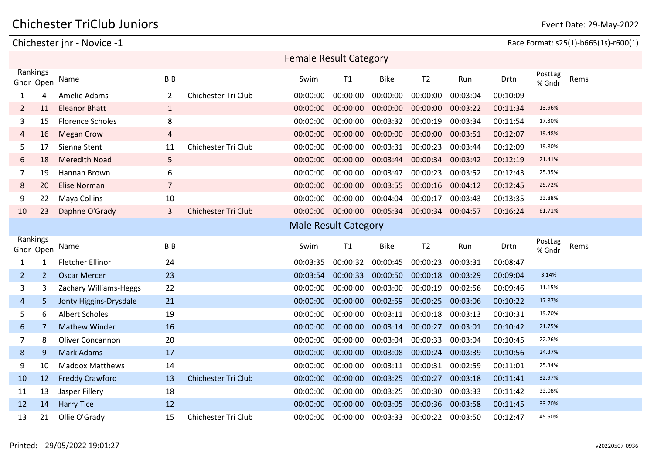### Chichester TriClub Juniors **Exercise State: 29-May-2022** Event Date: 29-May-2022

#### Chichester jnr - Novice -1 Race Format: s25(1)-b665(1s)-r600(1)

|                                  |                         |                |                            | <b>Female Result Category</b> |          |             |                   |          |          |                   |      |
|----------------------------------|-------------------------|----------------|----------------------------|-------------------------------|----------|-------------|-------------------|----------|----------|-------------------|------|
| Rankings<br>Gndr Open            | Name                    | <b>BIB</b>     |                            | Swim                          | T1       | <b>Bike</b> | T <sub>2</sub>    | Run      | Drtn     | PostLag<br>% Gndr | Rems |
| 4<br>1                           | Amelie Adams            | 2              | Chichester Tri Club        | 00:00:00                      | 00:00:00 | 00:00:00    | 00:00:00          | 00:03:04 | 00:10:09 |                   |      |
| 11<br>$\overline{2}$             | <b>Eleanor Bhatt</b>    | $\mathbf{1}$   |                            | 00:00:00                      | 00:00:00 | 00:00:00    | 00:00:00          | 00:03:22 | 00:11:34 | 13.96%            |      |
| 3<br>15                          | <b>Florence Scholes</b> | 8              |                            | 00:00:00                      | 00:00:00 | 00:03:32    | 00:00:19          | 00:03:34 | 00:11:54 | 17.30%            |      |
| 16<br>4                          | <b>Megan Crow</b>       | 4              |                            | 00:00:00                      | 00:00:00 | 00:00:00    | 00:00:00          | 00:03:51 | 00:12:07 | 19.48%            |      |
| 5<br>17                          | Sienna Stent            | 11             | Chichester Tri Club        | 00:00:00                      | 00:00:00 | 00:03:31    | 00:00:23          | 00:03:44 | 00:12:09 | 19.80%            |      |
| 6<br>18                          | <b>Meredith Noad</b>    | 5              |                            | 00:00:00                      | 00:00:00 | 00:03:44    | 00:00:34          | 00:03:42 | 00:12:19 | 21.41%            |      |
| 7<br>19                          | Hannah Brown            | 6              |                            | 00:00:00                      | 00:00:00 | 00:03:47    | 00:00:23          | 00:03:52 | 00:12:43 | 25.35%            |      |
| 8<br>20                          | <b>Elise Norman</b>     | $\overline{7}$ |                            | 00:00:00                      | 00:00:00 | 00:03:55    | 00:00:16          | 00:04:12 | 00:12:45 | 25.72%            |      |
| 9<br>22                          | Maya Collins            | 10             |                            | 00:00:00                      | 00:00:00 | 00:04:04    | 00:00:17          | 00:03:43 | 00:13:35 | 33.88%            |      |
| 10<br>23                         | Daphne O'Grady          | 3              | <b>Chichester Tri Club</b> | 00:00:00                      | 00:00:00 | 00:05:34    | 00:00:34 00:04:57 |          | 00:16:24 | 61.71%            |      |
|                                  |                         |                |                            | <b>Male Result Category</b>   |          |             |                   |          |          |                   |      |
|                                  |                         |                |                            |                               |          |             |                   |          |          |                   |      |
| Rankings<br>Gndr Open            | Name                    | <b>BIB</b>     |                            | Swim                          | T1       | <b>Bike</b> | T <sub>2</sub>    | Run      | Drtn     | PostLag<br>% Gndr | Rems |
| $\mathbf{1}$<br>1                | <b>Fletcher Ellinor</b> | 24             |                            | 00:03:35                      | 00:00:32 | 00:00:45    | 00:00:23          | 00:03:31 | 00:08:47 |                   |      |
| $\overline{2}$<br>$\overline{2}$ | <b>Oscar Mercer</b>     | 23             |                            | 00:03:54                      | 00:00:33 | 00:00:50    | 00:00:18          | 00:03:29 | 00:09:04 | 3.14%             |      |
| 3<br>3                           | Zachary Williams-Heggs  | 22             |                            | 00:00:00                      | 00:00:00 | 00:03:00    | 00:00:19          | 00:02:56 | 00:09:46 | 11.15%            |      |
| 5<br>4                           | Jonty Higgins-Drysdale  | 21             |                            | 00:00:00                      | 00:00:00 | 00:02:59    | 00:00:25          | 00:03:06 | 00:10:22 | 17.87%            |      |
| 5<br>6                           | <b>Albert Scholes</b>   | 19             |                            | 00:00:00                      | 00:00:00 | 00:03:11    | 00:00:18          | 00:03:13 | 00:10:31 | 19.70%            |      |
| 6<br>7                           | <b>Mathew Winder</b>    | 16             |                            | 00:00:00                      | 00:00:00 | 00:03:14    | 00:00:27          | 00:03:01 | 00:10:42 | 21.75%            |      |
| 8<br>7                           | Oliver Concannon        | 20             |                            | 00:00:00                      | 00:00:00 | 00:03:04    | 00:00:33          | 00:03:04 | 00:10:45 | 22.26%            |      |
| 8<br>9                           | <b>Mark Adams</b>       | 17             |                            | 00:00:00                      | 00:00:00 | 00:03:08    | 00:00:24          | 00:03:39 | 00:10:56 | 24.37%            |      |
| 9<br>10                          | <b>Maddox Matthews</b>  | 14             |                            | 00:00:00                      | 00:00:00 | 00:03:11    | 00:00:31          | 00:02:59 | 00:11:01 | 25.34%            |      |
| 10<br>12                         | <b>Freddy Crawford</b>  | 13             | <b>Chichester Tri Club</b> | 00:00:00                      | 00:00:00 | 00:03:25    | 00:00:27          | 00:03:18 | 00:11:41 | 32.97%            |      |
| 13<br>11                         | Jasper Fillery          | 18             |                            | 00:00:00                      | 00:00:00 | 00:03:25    | 00:00:30          | 00:03:33 | 00:11:42 | 33.08%            |      |
| 12<br>14                         | <b>Harry Tice</b>       | 12             |                            | 00:00:00                      | 00:00:00 | 00:03:05    | 00:00:36          | 00:03:58 | 00:11:45 | 33.70%            |      |